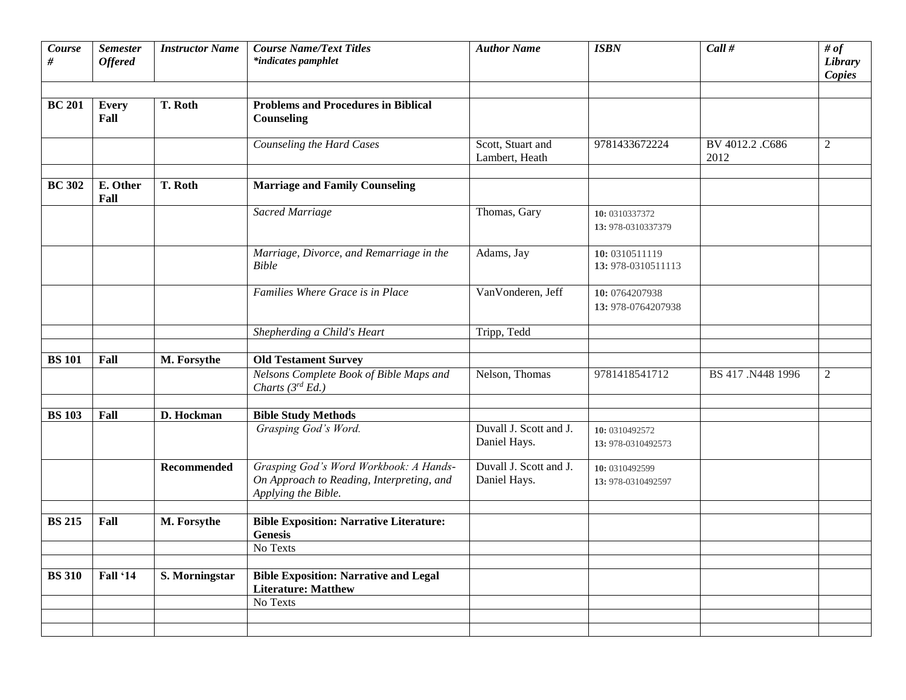| Course<br>#   | <b>Semester</b><br><b>Offered</b> | <b>Instructor Name</b> | <b>Course Name/Text Titles</b><br>*indicates pamphlet                                                      | <b>Author Name</b>                     | <b>ISBN</b>                          | Call #                 | # of<br>Library<br><b>Copies</b> |
|---------------|-----------------------------------|------------------------|------------------------------------------------------------------------------------------------------------|----------------------------------------|--------------------------------------|------------------------|----------------------------------|
| <b>BC 201</b> | <b>Every</b><br>Fall              | T. Roth                | <b>Problems and Procedures in Biblical</b><br>Counseling                                                   |                                        |                                      |                        |                                  |
|               |                                   |                        | Counseling the Hard Cases                                                                                  | Scott, Stuart and<br>Lambert, Heath    | 9781433672224                        | BV 4012.2.C686<br>2012 | $\overline{2}$                   |
| <b>BC 302</b> | E. Other<br>Fall                  | T. Roth                | <b>Marriage and Family Counseling</b>                                                                      |                                        |                                      |                        |                                  |
|               |                                   |                        | Sacred Marriage                                                                                            | Thomas, Gary                           | 10: 0310337372<br>13: 978-0310337379 |                        |                                  |
|               |                                   |                        | Marriage, Divorce, and Remarriage in the<br><b>Bible</b>                                                   | Adams, Jay                             | 10:0310511119<br>13: 978-0310511113  |                        |                                  |
|               |                                   |                        | Families Where Grace is in Place                                                                           | VanVonderen, Jeff                      | 10: 0764207938<br>13: 978-0764207938 |                        |                                  |
|               |                                   |                        | Shepherding a Child's Heart                                                                                | Tripp, Tedd                            |                                      |                        |                                  |
| <b>BS</b> 101 | Fall                              | M. Forsythe            | <b>Old Testament Survey</b>                                                                                |                                        |                                      |                        |                                  |
|               |                                   |                        | Nelsons Complete Book of Bible Maps and<br>Charts $(3^{rd} Ed.)$                                           | Nelson, Thomas                         | 9781418541712                        | BS 417 .N448 1996      | $\mathfrak{2}$                   |
| <b>BS</b> 103 | Fall                              | D. Hockman             | <b>Bible Study Methods</b>                                                                                 |                                        |                                      |                        |                                  |
|               |                                   |                        | Grasping God's Word.                                                                                       | Duvall J. Scott and J.<br>Daniel Hays. | 10: 0310492572<br>13: 978-0310492573 |                        |                                  |
|               |                                   | <b>Recommended</b>     | Grasping God's Word Workbook: A Hands-<br>On Approach to Reading, Interpreting, and<br>Applying the Bible. | Duvall J. Scott and J.<br>Daniel Hays. | 10: 0310492599<br>13: 978-0310492597 |                        |                                  |
| <b>BS 215</b> | Fall                              | M. Forsythe            | <b>Bible Exposition: Narrative Literature:</b><br><b>Genesis</b>                                           |                                        |                                      |                        |                                  |
|               |                                   |                        | No Texts                                                                                                   |                                        |                                      |                        |                                  |
| <b>BS</b> 310 | Fall '14                          | S. Morningstar         | <b>Bible Exposition: Narrative and Legal</b><br><b>Literature: Matthew</b>                                 |                                        |                                      |                        |                                  |
|               |                                   |                        | No Texts                                                                                                   |                                        |                                      |                        |                                  |
|               |                                   |                        |                                                                                                            |                                        |                                      |                        |                                  |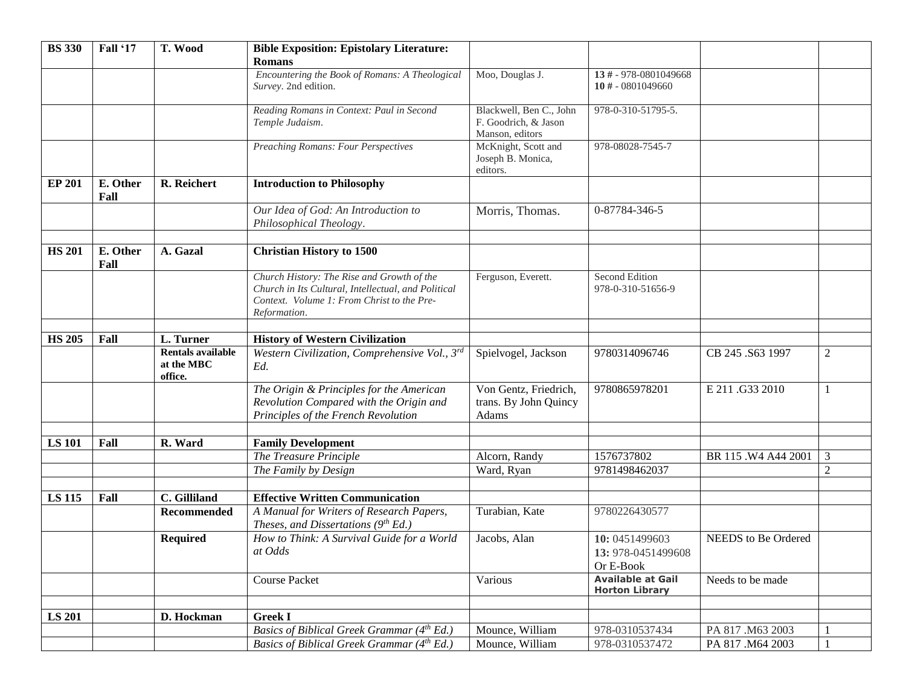| <b>BS</b> 330 | Fall '17         | T. Wood                                           | <b>Bible Exposition: Epistolary Literature:</b><br><b>Romans</b>                                                                                                |                                                                    |                                                   |                      |                |
|---------------|------------------|---------------------------------------------------|-----------------------------------------------------------------------------------------------------------------------------------------------------------------|--------------------------------------------------------------------|---------------------------------------------------|----------------------|----------------|
|               |                  |                                                   | Encountering the Book of Romans: A Theological<br>Survey. 2nd edition.                                                                                          | Moo, Douglas J.                                                    | 13 # - 978-0801049668<br>10 # - 0801049660        |                      |                |
|               |                  |                                                   | Reading Romans in Context: Paul in Second<br>Temple Judaism.                                                                                                    | Blackwell, Ben C., John<br>F. Goodrich, & Jason<br>Manson, editors | 978-0-310-51795-5.                                |                      |                |
|               |                  |                                                   | <b>Preaching Romans: Four Perspectives</b>                                                                                                                      | McKnight, Scott and<br>Joseph B. Monica,<br>editors.               | 978-08028-7545-7                                  |                      |                |
| <b>EP 201</b> | E. Other<br>Fall | R. Reichert                                       | <b>Introduction to Philosophy</b>                                                                                                                               |                                                                    |                                                   |                      |                |
|               |                  |                                                   | Our Idea of God: An Introduction to<br>Philosophical Theology.                                                                                                  | Morris, Thomas.                                                    | 0-87784-346-5                                     |                      |                |
| <b>HS 201</b> | E. Other<br>Fall | A. Gazal                                          | <b>Christian History to 1500</b>                                                                                                                                |                                                                    |                                                   |                      |                |
|               |                  |                                                   | Church History: The Rise and Growth of the<br>Church in Its Cultural, Intellectual, and Political<br>Context. Volume 1: From Christ to the Pre-<br>Reformation. | Ferguson, Everett.                                                 | Second Edition<br>978-0-310-51656-9               |                      |                |
| <b>HS 205</b> | Fall             | L. Turner                                         | <b>History of Western Civilization</b>                                                                                                                          |                                                                    |                                                   |                      |                |
|               |                  | <b>Rentals available</b><br>at the MBC<br>office. | Western Civilization, Comprehensive Vol., 3rd<br>Ed.                                                                                                            | Spielvogel, Jackson                                                | 9780314096746                                     | CB 245 .S63 1997     | $\mathbf{2}$   |
|               |                  |                                                   | The Origin & Principles for the American<br>Revolution Compared with the Origin and<br>Principles of the French Revolution                                      | Von Gentz, Friedrich,<br>trans. By John Quincy<br>Adams            | 9780865978201                                     | E 211.G33 2010       |                |
| <b>LS 101</b> | Fall             | R. Ward                                           | <b>Family Development</b>                                                                                                                                       |                                                                    |                                                   |                      |                |
|               |                  |                                                   | The Treasure Principle                                                                                                                                          | Alcorn, Randy                                                      | 1576737802                                        | BR 115 . W4 A44 2001 | $\mathfrak{Z}$ |
|               |                  |                                                   | The Family by Design                                                                                                                                            | Ward, Ryan                                                         | 9781498462037                                     |                      | $\overline{2}$ |
|               |                  |                                                   |                                                                                                                                                                 |                                                                    |                                                   |                      |                |
| <b>LS 115</b> | Fall             | C. Gilliland                                      | <b>Effective Written Communication</b>                                                                                                                          |                                                                    |                                                   |                      |                |
|               |                  | <b>Recommended</b>                                | A Manual for Writers of Research Papers,<br>Theses, and Dissertations $(9^{th} Ed.)$                                                                            | Turabian, Kate                                                     | 9780226430577                                     |                      |                |
|               |                  | <b>Required</b>                                   | How to Think: A Survival Guide for a World<br>at Odds                                                                                                           | Jacobs, Alan                                                       | 10: 0451499603<br>13: 978-0451499608<br>Or E-Book | NEEDS to Be Ordered  |                |
|               |                  |                                                   | <b>Course Packet</b>                                                                                                                                            | Various                                                            | <b>Available at Gail</b><br><b>Horton Library</b> | Needs to be made     |                |
|               |                  |                                                   |                                                                                                                                                                 |                                                                    |                                                   |                      |                |
| <b>LS 201</b> |                  | D. Hockman                                        | <b>Greek I</b><br>Basics of Biblical Greek Grammar (4th Ed.)                                                                                                    | Mounce, William                                                    | 978-0310537434                                    | PA 817 .M63 2003     |                |
|               |                  |                                                   | Basics of Biblical Greek Grammar (4th Ed.)                                                                                                                      | Mounce, William                                                    | 978-0310537472                                    | PA 817 .M64 2003     |                |
|               |                  |                                                   |                                                                                                                                                                 |                                                                    |                                                   |                      |                |